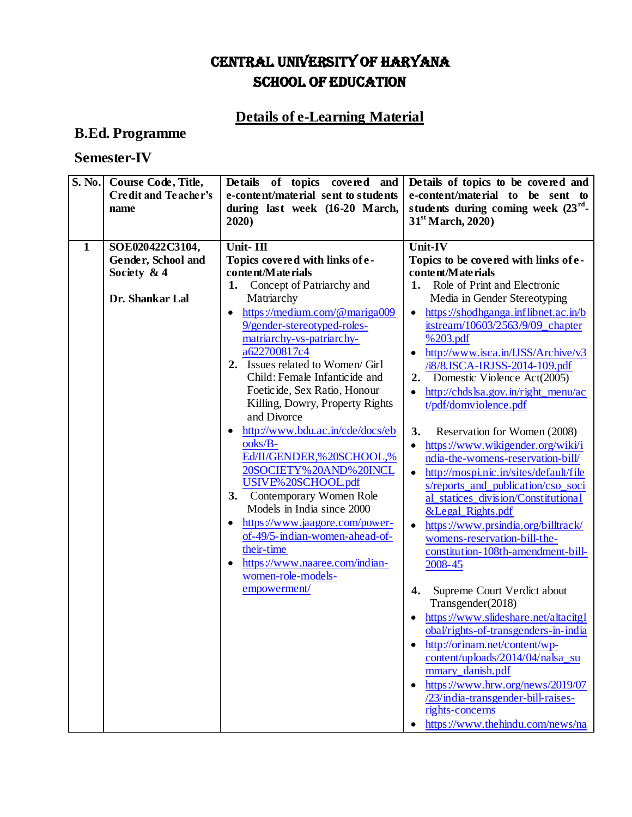## CENTRAL UNIVERSITY OF HARYANA SCHOOL OF EDUCATION

## **Details of e-Learning Material**

## **B.Ed. Programme**

## **Semester-IV**

| S. No.       | Course Code, Title,<br><b>Credit and Teacher's</b><br>name              | Details of topics covered and<br>e-content/material sent to students<br>during last week (16-20 March,<br>2020)                                                                                                                                                                                                                                                                                                                                                                                                                                                                                                                                                                                                                                                      | Details of topics to be covered and<br>e-content/material to be sent to<br>students during coming week $(23^{rd} -$<br>$31st$ March, 2020)                                                                                                                                                                                                                                                                                                                                                                                                                                                                                                                                                                                                                                                                                                                                                                                                                                                                                                                                                                                                                                                                               |
|--------------|-------------------------------------------------------------------------|----------------------------------------------------------------------------------------------------------------------------------------------------------------------------------------------------------------------------------------------------------------------------------------------------------------------------------------------------------------------------------------------------------------------------------------------------------------------------------------------------------------------------------------------------------------------------------------------------------------------------------------------------------------------------------------------------------------------------------------------------------------------|--------------------------------------------------------------------------------------------------------------------------------------------------------------------------------------------------------------------------------------------------------------------------------------------------------------------------------------------------------------------------------------------------------------------------------------------------------------------------------------------------------------------------------------------------------------------------------------------------------------------------------------------------------------------------------------------------------------------------------------------------------------------------------------------------------------------------------------------------------------------------------------------------------------------------------------------------------------------------------------------------------------------------------------------------------------------------------------------------------------------------------------------------------------------------------------------------------------------------|
| $\mathbf{1}$ | SOE020422C3104,<br>Gender, School and<br>Society & 4<br>Dr. Shankar Lal | Unit-III<br>Topics covered with links of e-<br>content/Materials<br>Concept of Patriarchy and<br>1.<br>Matriarchy<br>https://medium.com/@mariga009<br>$\bullet$<br>9/gender-stereotyped-roles-<br>matriarchy-vs-patriarchy-<br>a622700817c4<br>2. Issues related to Women/ Girl<br>Child: Female Infanticide and<br>Foetic ide, Sex Ratio, Honour<br>Killing, Dowry, Property Rights<br>and Divorce<br>http://www.bdu.ac.in/cde/docs/eb<br>ooks/B-<br>Ed/II/GENDER,%20SCHOOL,%<br>20SOCIETY%20AND%20INCL<br>USIVE%20SCHOOL.pdf<br>Contemporary Women Role<br>3.<br>Models in India since 2000<br>https://www.jaagore.com/power-<br>$\bullet$<br>of-49/5-indian-women-ahead-of-<br>their-time<br>https://www.naaree.com/indian-<br>women-role-models-<br>empowerment/ | Unit-IV<br>Topics to be covered with links of e-<br>content/Materials<br>Role of Print and Electronic<br>1.<br>Media in Gender Stereotyping<br>https://shodhganga.inflibnet.ac.in/b<br>$\bullet$<br>itstream/10603/2563/9/09_chapter<br>%203.pdf<br>http://www.isca.in/IJSS/Archive/v3<br>/i8/8.ISCA-IRJSS-2014-109.pdf<br>2. Domestic Violence Act(2005)<br>http://chdslsa.gov.in/right_menu/ac<br>$\bullet$<br>t/pdf/domviolence.pdf<br>Reservation for Women (2008)<br>3.<br>https://www.wikigender.org/wiki/i<br>ndia-the-womens-reservation-bill/<br>http://mospi.nic.in/sites/default/file<br>$\bullet$<br>s/reports_and_publication/cso_soci<br>al_statices_division/Constitutional<br>&Legal_Rights.pdf<br>https://www.prsindia.org/billtrack/<br>$\bullet$<br>womens-reservation-bill-the-<br>constitution-108th-amendment-bill-<br>2008-45<br>Supreme Court Verdict about<br>4.<br>Transgender(2018)<br>https://www.slideshare.net/altacitgl<br>obal/rights-of-transgenders-in-india<br>http://orinam.net/content/wp-<br>content/uploads/2014/04/nalsa su<br>mmary_danish.pdf<br>https://www.hrw.org/news/2019/07<br>/23/india-transgender-bill-raises-<br>rights-concerns<br>https://www.thehindu.com/news/na |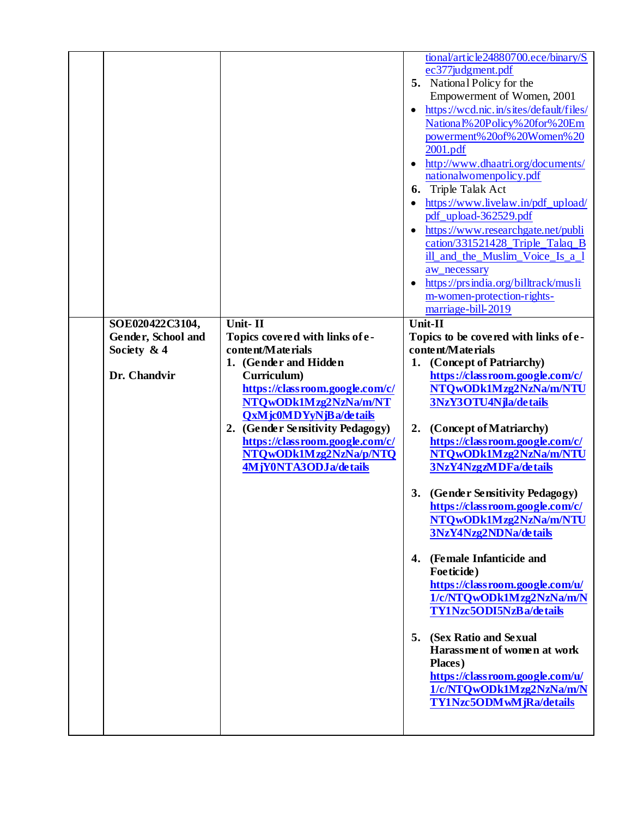|                                                                       |                                                                                                                                                                                                                                                                                                                         | tional/article24880700.ece/binary/S<br>ec377judgment.pdf<br>5. National Policy for the<br>Empowerment of Women, 2001<br>https://wcd.nic.in/sites/default/files/<br>National% 20Policy% 20for% 20Em<br>powerment% 20of% 20Women% 20<br>2001.pdf<br>http://www.dhaatri.org/documents/<br>nationalwomenpolicy.pdf<br>6. Triple Talak Act<br>https://www.livelaw.in/pdf_upload/<br>pdf_upload-362529.pdf<br>https://www.researchgate.net/publi<br>cation/331521428_Triple_Talaq_B<br>ill and the Muslim Voice Is a 1<br>aw_necessary<br>https://prsindia.org/billtrack/musli<br>m-women-protection-rights-<br>marriage-bill-2019                                                                                                                              |
|-----------------------------------------------------------------------|-------------------------------------------------------------------------------------------------------------------------------------------------------------------------------------------------------------------------------------------------------------------------------------------------------------------------|-----------------------------------------------------------------------------------------------------------------------------------------------------------------------------------------------------------------------------------------------------------------------------------------------------------------------------------------------------------------------------------------------------------------------------------------------------------------------------------------------------------------------------------------------------------------------------------------------------------------------------------------------------------------------------------------------------------------------------------------------------------|
| SOE020422C3104,<br>Gender, School and<br>Society $&4$<br>Dr. Chandvir | Unit-II<br>Topics covered with links of e-<br>content/Materials<br>1. (Gender and Hidden<br>Curriculum)<br>https://classroom.google.com/c/<br>NTQwODk1Mzg2NzNa/m/NT<br>QxMjc0MDYyNjBa/details<br>2. (Gender Sensitivity Pedagogy)<br>https://classroom.google.com/c/<br>NTQwODk1Mzg2NzNa/p/NTQ<br>4MjY0NTA3ODJa/details | Unit-II<br>Topics to be covered with links of e-<br>content/Materials<br>1. (Concept of Patriarchy)<br>https://classroom.google.com/c/<br>NTQwODk1Mzg2NzNa/m/NTU<br>3NzY3OTU4Njla/details<br>(Concept of Matriarchy)<br>2.<br>https://classroom.google.com/c/<br>NTQwODk1Mzg2NzNa/m/NTU<br>3NzY4NzgzMDFa/details<br>(Gender Sensitivity Pedagogy)<br>3.<br>https://classroom.google.com/c/<br>NTQwODk1Mzg2NzNa/m/NTU<br>3NzY4Nzg2NDNa/details<br>(Female Infanticide and<br>4.<br>Foeticide)<br>https://classroom.google.com/u/<br>1/c/NTQwODk1Mzg2NzNa/m/N<br>TY1Nzc5ODI5NzBa/details<br>5.<br>(Sex Ratio and Sexual<br>Harassment of women at work<br>Places)<br>https://classroom.google.com/u/<br>1/c/NTQwODk1Mzg2NzNa/m/N<br>TY1Nzc5ODMwMjRa/details |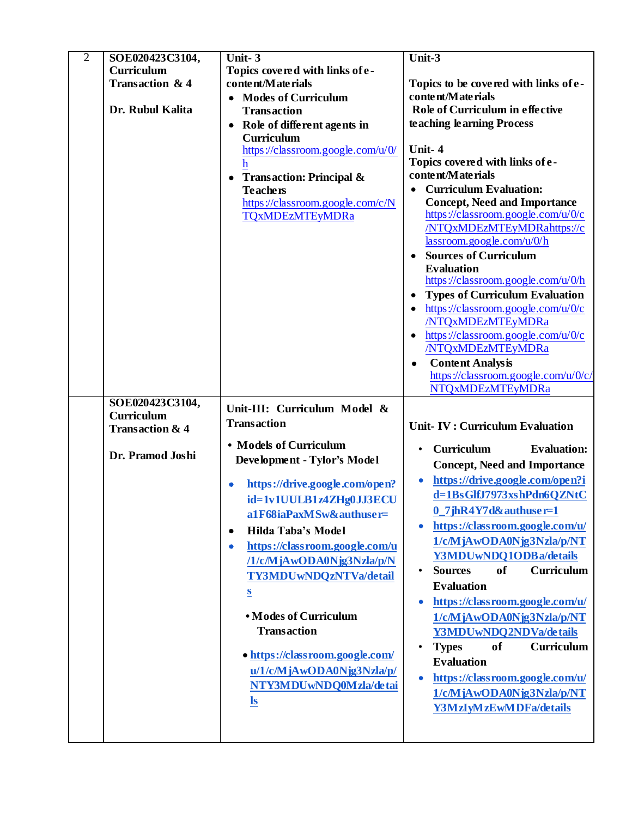| $\overline{2}$ | SOE020423C3104,            | Unit-3                               | Unit-3                                  |
|----------------|----------------------------|--------------------------------------|-----------------------------------------|
|                | Curriculum                 | Topics covered with links of e-      |                                         |
|                | Transaction & 4            | content/Materials                    | Topics to be covered with links of e-   |
|                |                            | • Modes of Curriculum                | content/Materials                       |
|                | Dr. Rubul Kalita           | <b>Transaction</b>                   | Role of Curriculum in effective         |
|                |                            | Role of different agents in          | teaching learning Process               |
|                |                            | Curriculum                           |                                         |
|                |                            | https://classroom.google.com/u/0/    | Unit-4                                  |
|                |                            | h                                    | Topics covered with links of e-         |
|                |                            | <b>Transaction: Principal &amp;</b>  | content/Materials                       |
|                |                            | <b>Teachers</b>                      | <b>Curriculum Evaluation:</b>           |
|                |                            | https://classroom.google.com/c/N     | <b>Concept, Need and Importance</b>     |
|                |                            | <b>TQxMDEzMTEyMDRa</b>               | https://classroom.google.com/u/0/c      |
|                |                            |                                      | /NTQxMDEzMTEyMDRahttps://c              |
|                |                            |                                      | lassroom.google.com/u/0/h               |
|                |                            |                                      | <b>Sources of Curriculum</b>            |
|                |                            |                                      | <b>Evaluation</b>                       |
|                |                            |                                      | https://classroom.google.com/u/0/h      |
|                |                            |                                      | <b>Types of Curriculum Evaluation</b>   |
|                |                            |                                      | https://classroom.google.com/u/0/c      |
|                |                            |                                      | /NTQxMDEzMTEyMDRa                       |
|                |                            |                                      | https://classroom.google.com/u/0/c      |
|                |                            |                                      | /NTQxMDEzMTEyMDRa                       |
|                |                            |                                      | <b>Content Analysis</b>                 |
|                |                            |                                      | https://classroom.google.com/u/0/c/     |
|                |                            |                                      | <b>NTQxMDEzMTEyMDRa</b>                 |
|                |                            |                                      |                                         |
|                | SOE020423C3104,            |                                      |                                         |
|                | Curriculum                 | Unit-III: Curriculum Model &         |                                         |
|                | <b>Transaction &amp; 4</b> | <b>Transaction</b>                   | <b>Unit-IV: Curriculum Evaluation</b>   |
|                |                            | • Models of Curriculum               | Curriculum<br><b>Evaluation:</b>        |
|                | Dr. Pramod Joshi           | Development - Tylor's Model          |                                         |
|                |                            |                                      | <b>Concept, Need and Importance</b>     |
|                |                            | https://drive.google.com/open?       | https://drive.google.com/open?i         |
|                |                            | id=1v1UULB1z4ZHg0JJ3ECU              | d=1BsGlfJ7973xshPdn6QZNtC               |
|                |                            | a1F68iaPaxMSw&authuser=              | $0$ 7jhR4Y7d&authuser=1                 |
|                |                            | Hilda Taba's Model<br>٠              | https://classroom.google.com/u/         |
|                |                            | https://classroom.google.com/u       | 1/c/MjAwODA0Njg3Nzla/p/NT               |
|                |                            | /1/c/MjAwODA0Njg3Nzla/p/N            | Y3MDUwNDQ1ODBa/details                  |
|                |                            |                                      | Curriculum<br><b>Sources</b><br>of      |
|                |                            | TY3MDUwNDQzNTVa/detail               | <b>Evaluation</b>                       |
|                |                            | $\underline{\underline{\mathbf{S}}}$ | https://classroom.google.com/u/         |
|                |                            | • Modes of Curriculum                | 1/c/MjAwODA0Njg3Nzla/p/NT               |
|                |                            | <b>Transaction</b>                   |                                         |
|                |                            |                                      | Y3MDUwNDQ2NDVa/de tails                 |
|                |                            | • https://classroom.google.com/      | of<br><b>Curriculum</b><br><b>Types</b> |
|                |                            | u/1/c/MjAwODA0Njg3Nzla/p/            | <b>Evaluation</b>                       |
|                |                            | NTY3MDUwNDQ0Mzla/detai               | https://classroom.google.com/u/         |
|                |                            |                                      | 1/c/MjAwODA0Njg3Nzla/p/NT               |
|                |                            | $\underline{\mathbf{ls}}$            | Y3MzIyMzEwMDFa/details                  |
|                |                            |                                      |                                         |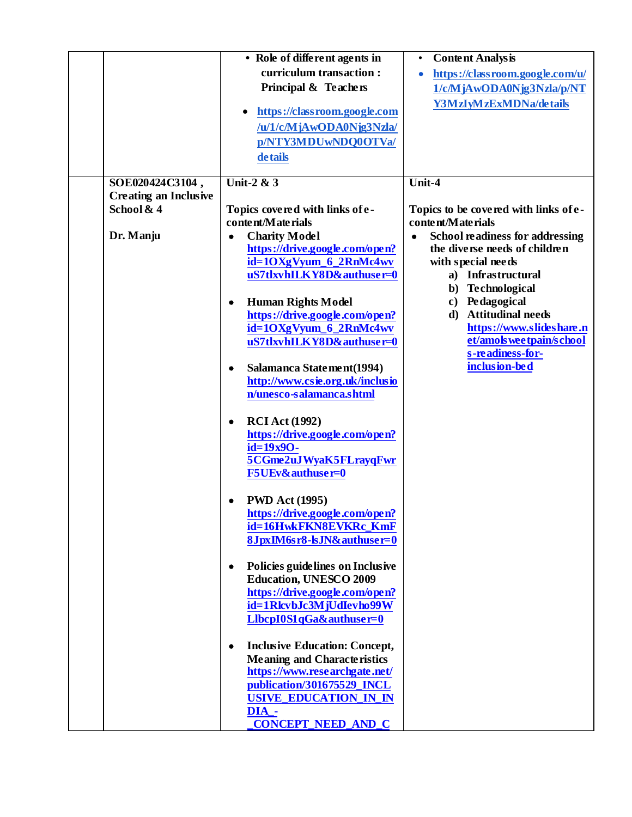|                              | • Role of different agents in                                   | <b>Content Analysis</b><br>$\bullet$           |
|------------------------------|-----------------------------------------------------------------|------------------------------------------------|
|                              | curriculum transaction:                                         | https://classroom.google.com/u/                |
|                              | Principal & Teachers                                            | 1/c/MjAwODA0Njg3Nzla/p/NT                      |
|                              |                                                                 | Y3MzIyMzExMDNa/details                         |
|                              | https://classroom.google.com                                    |                                                |
|                              | /u/1/c/MjAwODA0Njg3Nzla/                                        |                                                |
|                              | p/NTY3MDUwNDQ0OTVa/                                             |                                                |
|                              | details                                                         |                                                |
| SOE020424C3104,              | Unit-2 & 3                                                      | Unit-4                                         |
| <b>Creating an Inclusive</b> |                                                                 |                                                |
| School & 4                   | Topics covered with links of e-                                 | Topics to be covered with links of e-          |
|                              | content/Materials                                               | content/Materials                              |
| Dr. Manju                    | <b>Charity Model</b><br>$\bullet$                               | <b>School readiness for addressing</b>         |
|                              | https://drive.google.com/open?                                  | the diverse needs of children                  |
|                              | id=1OXgVyum_6_2RnMc4wv                                          | with special needs                             |
|                              | uS7tlxvhILKY8D&authuser=0                                       | a) Infrastructural                             |
|                              |                                                                 | b) Technological                               |
|                              | <b>Human Rights Model</b><br>$\bullet$                          | c) Pedagogical                                 |
|                              | https://drive.google.com/open?                                  | d) Attitudinal needs                           |
|                              | id=1OXgVyum_6_2RnMc4wv                                          | https://www.slideshare.n                       |
|                              | uS7tlxvhILKY8D&authuser=0                                       | et/amols wee tpain/s chool<br>s-readiness-for- |
|                              | Salamanca Statement(1994)<br>$\bullet$                          | inclusion-bed                                  |
|                              | http://www.csie.org.uk/inclusio                                 |                                                |
|                              | n/unesco-salamanca.shtml                                        |                                                |
|                              |                                                                 |                                                |
|                              | <b>RCI</b> Act (1992)<br>$\bullet$                              |                                                |
|                              | https://drive.google.com/open?                                  |                                                |
|                              | id=19x90-                                                       |                                                |
|                              | 5CGme2uJWyaK5FLrayqFwr                                          |                                                |
|                              | <b>F5UEv&amp;authuser=0</b>                                     |                                                |
|                              |                                                                 |                                                |
|                              | <b>PWD Act (1995)</b>                                           |                                                |
|                              | https://drive.google.com/open?                                  |                                                |
|                              | id=16HwkFKN8EVKRc_KmF                                           |                                                |
|                              | 8JpxIM6sr8-lsJN&authuser=0                                      |                                                |
|                              |                                                                 |                                                |
|                              | Policies guidelines on Inclusive<br>٠                           |                                                |
|                              | <b>Education, UNESCO 2009</b><br>https://drive.google.com/open? |                                                |
|                              | id=1RlcvbJc3MjUdIevho99W                                        |                                                |
|                              | LlbcpI0S1qGa&authuser=0                                         |                                                |
|                              |                                                                 |                                                |
|                              | <b>Inclusive Education: Concept,</b><br>٠                       |                                                |
|                              | <b>Meaning and Characteristics</b>                              |                                                |
|                              | https://www.researchgate.net/                                   |                                                |
|                              | publication/301675529_INCL                                      |                                                |
|                              | <b>USIVE_EDUCATION_IN_IN</b>                                    |                                                |
|                              | DIA_-                                                           |                                                |
|                              | <b>CONCEPT_NEED_AND_C</b>                                       |                                                |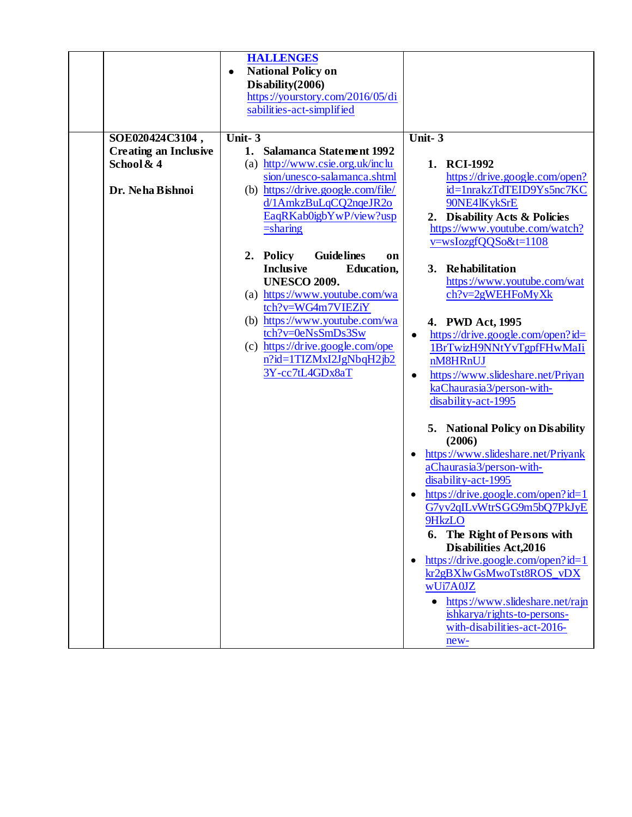|                              | <b>HALLENGES</b>                                |                                                |
|------------------------------|-------------------------------------------------|------------------------------------------------|
|                              | <b>National Policy on</b><br>$\bullet$          |                                                |
|                              | Disability(2006)                                |                                                |
|                              | https://yourstory.com/2016/05/di                |                                                |
|                              | sabilities-act-simplified                       |                                                |
|                              |                                                 |                                                |
| SOE020424C3104,              | Unit-3                                          | Unit- $3$                                      |
| <b>Creating an Inclusive</b> | <b>Salamanca Statement 1992</b><br>1.           |                                                |
| School & 4                   | (a) http://www.csie.org.uk/inclu                | 1. RCI-1992                                    |
|                              | sion/unesco-salamanca.shtml                     | https://drive.google.com/open?                 |
| Dr. Neha Bishnoi             | (b) https://drive.google.com/file/              | id=1nrakzTdTEID9Ys5nc7KC                       |
|                              | d/1AmkzBuLqCQ2nqeJR2o                           | 90NE4lKykSrE                                   |
|                              | EaqRKab0igbYwP/view?usp                         | 2. Disability Acts & Policies                  |
|                              | $=$ sharing                                     | https://www.youtube.com/watch?                 |
|                              |                                                 | v=wsIozgfQQSo&t=1108                           |
|                              | <b>Guidelines</b><br>2. Policy<br><sub>on</sub> |                                                |
|                              | <b>Inclusive</b><br><b>Education,</b>           | 3. Rehabilitation                              |
|                              | <b>UNESCO 2009.</b>                             | https://www.youtube.com/wat                    |
|                              | (a) https://www.youtube.com/wa                  | $ch?v=2gWEHFoMyXk$                             |
|                              | tch?v=WG4m7VIEZiY                               |                                                |
|                              | (b) https://www.youtube.com/wa                  | 4. PWD Act, 1995                               |
|                              | tch?v=0eNsSmDs3Sw                               | https://drive.google.com/open?id=<br>$\bullet$ |
|                              | (c) https://drive.google.com/ope                | 1BrTwizH9NNtYvTgpfFHwMaIi                      |
|                              | n?id=1TIZMxI2JgNbqH2jb2                         | nM8HRnUJ                                       |
|                              | 3Y-cc7tL4GDx8aT                                 | https://www.slideshare.net/Priyan<br>$\bullet$ |
|                              |                                                 | kaChaurasia3/person-with-                      |
|                              |                                                 | disability-act-1995                            |
|                              |                                                 |                                                |
|                              |                                                 | 5. National Policy on Disability               |
|                              |                                                 | (2006)                                         |
|                              |                                                 | https://www.slideshare.net/Priyank             |
|                              |                                                 | aChaurasia3/person-with-                       |
|                              |                                                 | disability-act-1995                            |
|                              |                                                 | https://drive.google.com/open?id=1             |
|                              |                                                 | G7yv2qILvWtrSGG9m5bQ7PkJyE                     |
|                              |                                                 | 9HkzLO                                         |
|                              |                                                 | 6. The Right of Persons with                   |
|                              |                                                 | <b>Disabilities Act, 2016</b>                  |
|                              |                                                 | https://drive.google.com/open?id=1             |
|                              |                                                 | kr2gBXlwGsMwoTst8ROS_vDX                       |
|                              |                                                 | wUi7A0JZ                                       |
|                              |                                                 | https://www.slideshare.net/rajn                |
|                              |                                                 | ishkarya/rights-to-persons-                    |
|                              |                                                 | with-disabilities-act-2016-                    |
|                              |                                                 |                                                |
|                              |                                                 | new-                                           |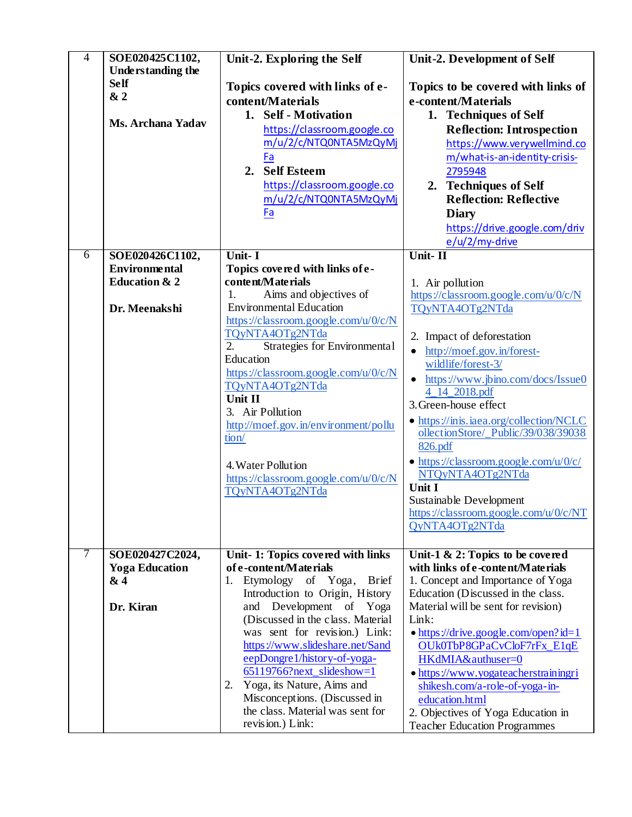| $\overline{4}$ | SOE020425C1102,                         | Unit-2. Exploring the Self                        | Unit-2. Development of Self                    |
|----------------|-----------------------------------------|---------------------------------------------------|------------------------------------------------|
|                | <b>Understanding the</b><br><b>Self</b> |                                                   |                                                |
|                | &2                                      | Topics covered with links of e-                   | Topics to be covered with links of             |
|                |                                         | content/Materials                                 | e-content/Materials                            |
|                | <b>Ms. Archana Yadav</b>                | 1. Self - Motivation                              | 1. Techniques of Self                          |
|                |                                         | https://classroom.google.co                       | <b>Reflection: Introspection</b>               |
|                |                                         | m/u/2/c/NTQ0NTA5MzQyMj                            | https://www.verywellmind.co                    |
|                |                                         | Fa                                                | m/what-is-an-identity-crisis-                  |
|                |                                         | <b>Self Esteem</b><br>2.                          | 2795948                                        |
|                |                                         | https://classroom.google.co                       | 2. Techniques of Self                          |
|                |                                         | m/u/2/c/NTQ0NTA5MzQyMj                            | <b>Reflection: Reflective</b>                  |
|                |                                         | Fa                                                | <b>Diary</b>                                   |
|                |                                         |                                                   | https://drive.google.com/driv                  |
|                |                                         |                                                   | e/u/2/my-drive                                 |
| 6              | SOE020426C1102,                         | Unit- I                                           | Unit-II                                        |
|                | <b>Environmental</b>                    | Topics covered with links of e-                   |                                                |
|                | <b>Education &amp; 2</b>                | content/Materials                                 | 1. Air pollution                               |
|                |                                         | Aims and objectives of<br>1.                      | https://classroom.google.com/u/0/c/N           |
|                | Dr. Meenakshi                           | <b>Environmental Education</b>                    | TQyNTA4OTg2NTda                                |
|                |                                         | https://classroom.google.com/u/0/c/N              |                                                |
|                |                                         | TQyNTA4OTg2NTda                                   | 2. Impact of deforestation                     |
|                |                                         | $\overline{2}$ .<br>Strategies for Environmental  | http://moef.gov.in/forest-<br>$\bullet$        |
|                |                                         | Education<br>https://classroom.google.com/u/0/c/N | wildlife/forest-3/                             |
|                |                                         | TQyNTA4OTg2NTda                                   | https://www.jbino.com/docs/Issue0<br>$\bullet$ |
|                |                                         | Unit II                                           | 4_14_2018.pdf                                  |
|                |                                         | 3. Air Pollution                                  | 3. Green-house effect                          |
|                |                                         | http://moef.gov.in/environment/pollu              | • https://inis.iaea.org/collection/NCLC        |
|                |                                         | tion/                                             | ollectionStore/_Public/39/038/39038            |
|                |                                         |                                                   | 826.pdf                                        |
|                |                                         | 4. Water Pollution                                | • https://classroom.google.com/u/0/c/          |
|                |                                         | https://classroom.google.com/u/0/c/N              | NTQyNTA4OTg2NTda                               |
|                |                                         | TQyNTA4OTg2NTda                                   | Unit I                                         |
|                |                                         |                                                   | Sustainable Development                        |
|                |                                         |                                                   | https://classroom.google.com/u/0/c/NT          |
|                |                                         |                                                   | QyNTA4OTg2NTda                                 |
| 7              | SOE020427C2024,                         | Unit-1: Topics covered with links                 | Unit-1 $\&$ 2: Topics to be covered            |
|                | <b>Yoga Education</b>                   | of e-content/Materials                            | with links of e-content/Materials              |
|                | & 4                                     | Etymology of Yoga,<br><b>Brief</b><br>1.          | 1. Concept and Importance of Yoga              |
|                |                                         | Introduction to Origin, History                   | Education (Discussed in the class.             |
|                | Dr. Kiran                               | Development of Yoga<br>and                        | Material will be sent for revision)            |
|                |                                         | (Discussed in the class. Material                 | Link:                                          |
|                |                                         | was sent for revision.) Link:                     | $\bullet$ https://drive.google.com/open?id=1   |
|                |                                         | https://www.slideshare.net/Sand                   | OUk0TbP8GPaCvCloF7rFx_E1qE                     |
|                |                                         | eepDongre1/history-of-yoga-                       | HKdMIA&authuser=0                              |
|                |                                         | $65119766?next_slideshow=1$                       | • https://www.yogateacherstrainingri           |
|                |                                         | Yoga, its Nature, Aims and<br>2.                  | shikesh.com/a-role-of-yoga-in-                 |
|                |                                         | Misconceptions. (Discussed in                     | education.html                                 |
|                |                                         | the class. Material was sent for                  | 2. Objectives of Yoga Education in             |
|                |                                         | revision.) Link:                                  | <b>Teacher Education Programmes</b>            |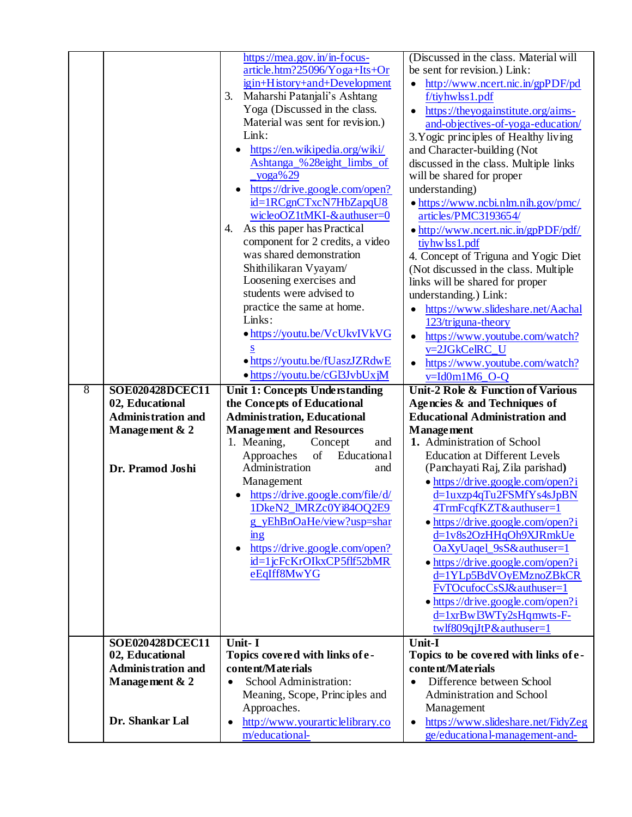|                |                           | https://mea.gov.in/in-focus-                       | (Discussed in the class. Material will                               |
|----------------|---------------------------|----------------------------------------------------|----------------------------------------------------------------------|
|                |                           | article.htm?25096/Yoga+Its+Or                      | be sent for revision.) Link:                                         |
|                |                           | igin+History+and+Development                       | http://www.ncert.nic.in/gpPDF/pd<br>$\bullet$                        |
|                |                           | Maharshi Patanjali's Ashtang<br>3.                 | f/tiyhwlss1.pdf                                                      |
|                |                           | Yoga (Discussed in the class.                      | https://theyogainstitute.org/aims-                                   |
|                |                           | Material was sent for revision.)                   | and-objectives-of-yoga-education/                                    |
|                |                           | Link:                                              | 3. Yogic principles of Healthy living                                |
|                |                           | https://en.wikipedia.org/wiki/                     | and Character-building (Not                                          |
|                |                           | Ashtanga_%28eight_limbs_of                         | discussed in the class. Multiple links                               |
|                |                           | $yoga\% 29$                                        | will be shared for proper                                            |
|                |                           | https://drive.google.com/open?                     | understanding)                                                       |
|                |                           | id=1RCgnCTxcN7HbZapqU8                             | • https://www.ncbi.nlm.nih.gov/pmc/                                  |
|                |                           | wicleoOZ1tMKI-&authuser=0                          | articles/PMC3193654/                                                 |
|                |                           | As this paper has Practical<br>4.                  | • http://www.ncert.nic.in/gpPDF/pdf/                                 |
|                |                           | component for 2 credits, a video                   | tiyhw lss 1.pdf                                                      |
|                |                           | was shared demonstration                           | 4. Concept of Triguna and Yogic Diet                                 |
|                |                           | Shithilikaran Vyayam/                              | (Not discussed in the class. Multiple                                |
|                |                           | Loosening exercises and                            | links will be shared for proper                                      |
|                |                           | students were advised to                           | understanding.) Link:                                                |
|                |                           | practice the same at home.                         | https://www.slideshare.net/Aachal                                    |
|                |                           | Links:                                             | 123/triguna-theory                                                   |
|                |                           | · https://youtu.be/VcUkvIVkVG                      | https://www.youtube.com/watch?<br>$\bullet$                          |
|                |                           | S                                                  | v=2JGkCelRC_U                                                        |
|                |                           | • https://youtu.be/fUaszJZRdwE                     | https://www.youtube.com/watch?<br>$\bullet$                          |
|                |                           | • https://youtu.be/cGl3JvbUxjM                     | v=Id0m1M6_O-Q                                                        |
| $\overline{8}$ | SOE020428DCEC11           | Unit 1: Concepts Understanding                     | <b>Unit-2 Role &amp; Function of Various</b>                         |
|                |                           |                                                    |                                                                      |
|                | 02, Educational           | the Concepts of Educational                        | Agencies & and Techniques of                                         |
|                | <b>Administration and</b> | <b>Administration, Educational</b>                 | <b>Educational Administration and</b>                                |
|                | Management & 2            | <b>Management and Resources</b>                    | <b>Management</b>                                                    |
|                |                           | 1. Meaning,<br>Concept<br>and                      | 1. Administration of School                                          |
|                |                           | of<br>Approaches<br>Educational                    | <b>Education at Different Levels</b>                                 |
|                | Dr. Pramod Joshi          | Administration<br>and                              | (Panchayati Raj, Zila parishad)                                      |
|                |                           | Management                                         | · https://drive.google.com/open?i                                    |
|                |                           | https://drive.google.com/file/d/                   | d=1uxzp4qTu2FSMfYs4sJpBN                                             |
|                |                           | 1DkeN2 IMRZc0Yi84OO2E9                             | 4TrmFcqfKZT&authuser=1                                               |
|                |                           | g_yEhBnOaHe/view?usp=shar                          | • https://drive.google.com/open?i                                    |
|                |                           | mg                                                 | d=1v8s2OzHHqOh9XJRmkUe                                               |
|                |                           | https://drive.google.com/open?<br>$\bullet$        | OaXyUaqel_9sS&authuser=1                                             |
|                |                           | id=1jcFcKrOIkxCP5flf52bMR                          | • https://drive.google.com/open?i                                    |
|                |                           | eEqIff8MwYG                                        | d=1YLp5BdVOyEMznoZBkCR                                               |
|                |                           |                                                    | FvTOcufocCsSJ&authuser=1                                             |
|                |                           |                                                    | • https://drive.google.com/open?i                                    |
|                |                           |                                                    | d=1xrBwl3WTy2sHqmwts-F-                                              |
|                |                           |                                                    | twlf809qjJtP&authuser=1                                              |
|                | <b>SOE020428DCEC11</b>    | Unit- I                                            | Unit-I                                                               |
|                | 02, Educational           | Topics covered with links of e-                    | Topics to be covered with links of e-                                |
|                | <b>Administration and</b> | content/Materials                                  | content/Materials                                                    |
|                | Management & 2            | School Administration:<br>$\bullet$                | Difference between School<br>$\bullet$                               |
|                |                           | Meaning, Scope, Principles and                     | Administration and School                                            |
|                |                           | Approaches.                                        | Management                                                           |
|                | Dr. Shankar Lal           | http://www.yourarticlelibrary.co<br>m/educational- | https://www.slideshare.net/FidyZeg<br>ge/educational-management-and- |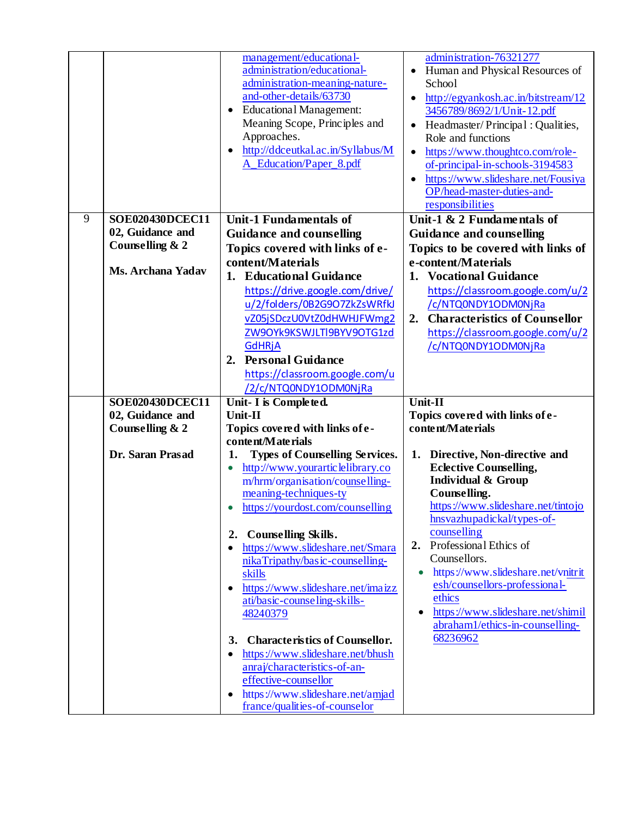|   |                          | management/educational-<br>administration/educational-<br>administration-meaning-nature-<br>and-other-details/63730<br><b>Educational Management:</b><br>Meaning Scope, Principles and<br>Approaches.<br>http://ddceutkal.ac.in/Syllabus/M<br>A_Education/Paper_8.pdf | administration-76321277<br>Human and Physical Resources of<br>School<br>http://egyankosh.ac.in/bitstream/12<br>3456789/8692/1/Unit-12.pdf<br>Headmaster/Principal: Qualities,<br>Role and functions<br>https://www.thoughtco.com/role-<br>$\bullet$<br>of-principal-in-schools-3194583<br>https://www.slideshare.net/Fousiya<br>OP/head-master-duties-and-<br>responsibilities |
|---|--------------------------|-----------------------------------------------------------------------------------------------------------------------------------------------------------------------------------------------------------------------------------------------------------------------|--------------------------------------------------------------------------------------------------------------------------------------------------------------------------------------------------------------------------------------------------------------------------------------------------------------------------------------------------------------------------------|
| 9 | <b>SOE020430DCEC11</b>   | <b>Unit-1 Fundamentals of</b>                                                                                                                                                                                                                                         | Unit-1 & 2 Fundamentals of                                                                                                                                                                                                                                                                                                                                                     |
|   | 02, Guidance and         | <b>Guidance and counselling</b>                                                                                                                                                                                                                                       | <b>Guidance and counselling</b>                                                                                                                                                                                                                                                                                                                                                |
|   | Counselling & 2          | Topics covered with links of e-                                                                                                                                                                                                                                       | Topics to be covered with links of                                                                                                                                                                                                                                                                                                                                             |
|   | <b>Ms. Archana Yadav</b> | content/Materials                                                                                                                                                                                                                                                     | e-content/Materials                                                                                                                                                                                                                                                                                                                                                            |
|   |                          | 1. Educational Guidance                                                                                                                                                                                                                                               | 1. Vocational Guidance                                                                                                                                                                                                                                                                                                                                                         |
|   |                          | https://drive.google.com/drive/                                                                                                                                                                                                                                       | https://classroom.google.com/u/2                                                                                                                                                                                                                                                                                                                                               |
|   |                          | u/2/folders/0B2G9O7ZkZsWRfkJ                                                                                                                                                                                                                                          | /c/NTQ0NDY1ODM0NjRa                                                                                                                                                                                                                                                                                                                                                            |
|   |                          | vZ05jSDczU0VtZ0dHWHJFWmg2<br>ZW9OYk9KSWJLTI9BYV9OTG1zd                                                                                                                                                                                                                | <b>Characteristics of Counsellor</b><br>2.<br>https://classroom.google.com/u/2                                                                                                                                                                                                                                                                                                 |
|   |                          | <b>GdHRjA</b>                                                                                                                                                                                                                                                         | /c/NTQ0NDY1ODM0NjRa                                                                                                                                                                                                                                                                                                                                                            |
|   |                          | 2. Personal Guidance                                                                                                                                                                                                                                                  |                                                                                                                                                                                                                                                                                                                                                                                |
|   |                          | https://classroom.google.com/u                                                                                                                                                                                                                                        |                                                                                                                                                                                                                                                                                                                                                                                |
|   |                          | <u>/2/c/NTQ0NDY1ODM0NjRa</u>                                                                                                                                                                                                                                          |                                                                                                                                                                                                                                                                                                                                                                                |
|   |                          |                                                                                                                                                                                                                                                                       |                                                                                                                                                                                                                                                                                                                                                                                |
|   | <b>SOE020430DCEC11</b>   | Unit- I is Completed.                                                                                                                                                                                                                                                 | Unit-II                                                                                                                                                                                                                                                                                                                                                                        |
|   | 02, Guidance and         | Unit-II                                                                                                                                                                                                                                                               | Topics covered with links of e-                                                                                                                                                                                                                                                                                                                                                |
|   | Counselling & 2          | Topics covered with links of e-                                                                                                                                                                                                                                       | content/Materials                                                                                                                                                                                                                                                                                                                                                              |
|   |                          | content/Materials                                                                                                                                                                                                                                                     |                                                                                                                                                                                                                                                                                                                                                                                |
|   | Dr. Saran Prasad         | <b>Types of Counselling Services.</b><br>1.                                                                                                                                                                                                                           | 1. Directive, Non-directive and                                                                                                                                                                                                                                                                                                                                                |
|   |                          | http://www.yourarticlelibrary.co<br>$\bullet$                                                                                                                                                                                                                         | <b>Eclective Counselling,</b>                                                                                                                                                                                                                                                                                                                                                  |
|   |                          | m/hrm/organisation/counselling-                                                                                                                                                                                                                                       | <b>Individual &amp; Group</b><br>Counselling.                                                                                                                                                                                                                                                                                                                                  |
|   |                          | meaning-techniques-ty<br>https://yourdost.com/counselling                                                                                                                                                                                                             | https://www.slideshare.net/tintojo                                                                                                                                                                                                                                                                                                                                             |
|   |                          |                                                                                                                                                                                                                                                                       | hnsvazhupadickal/types-of-                                                                                                                                                                                                                                                                                                                                                     |
|   |                          | 2. Counselling Skills.                                                                                                                                                                                                                                                | counselling                                                                                                                                                                                                                                                                                                                                                                    |
|   |                          | https://www.slideshare.net/Smara                                                                                                                                                                                                                                      | Professional Ethics of<br>2.                                                                                                                                                                                                                                                                                                                                                   |
|   |                          | nikaTripathy/basic-counselling-                                                                                                                                                                                                                                       | Counsellors.                                                                                                                                                                                                                                                                                                                                                                   |
|   |                          | skills                                                                                                                                                                                                                                                                | https://www.slideshare.net/vnitrit<br>esh/counsellors-professional-                                                                                                                                                                                                                                                                                                            |
|   |                          | https://www.slideshare.net/imaizz                                                                                                                                                                                                                                     | ethics                                                                                                                                                                                                                                                                                                                                                                         |
|   |                          | ati/basic-counseling-skills-<br>48240379                                                                                                                                                                                                                              | https://www.slideshare.net/shimil                                                                                                                                                                                                                                                                                                                                              |
|   |                          |                                                                                                                                                                                                                                                                       | abraham1/ethics-in-counselling-                                                                                                                                                                                                                                                                                                                                                |
|   |                          | 3. Characteristics of Counsellor.                                                                                                                                                                                                                                     | 68236962                                                                                                                                                                                                                                                                                                                                                                       |
|   |                          | https://www.slideshare.net/bhush                                                                                                                                                                                                                                      |                                                                                                                                                                                                                                                                                                                                                                                |
|   |                          | anraj/characteristics-of-an-                                                                                                                                                                                                                                          |                                                                                                                                                                                                                                                                                                                                                                                |
|   |                          | effective-counsellor<br>https://www.slideshare.net/amjad                                                                                                                                                                                                              |                                                                                                                                                                                                                                                                                                                                                                                |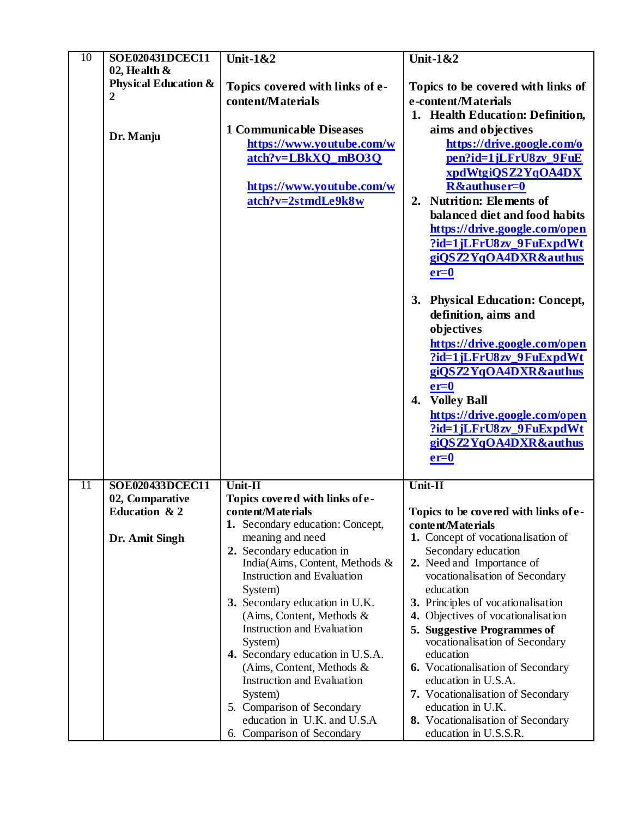| $\overline{10}$ | <b>SOE020431DCEC11</b>                             | <b>Unit-1&amp;2</b>                                               | <b>Unit-1&amp;2</b>                                       |
|-----------------|----------------------------------------------------|-------------------------------------------------------------------|-----------------------------------------------------------|
|                 | 02, Health $\&$<br><b>Physical Education &amp;</b> |                                                                   |                                                           |
|                 | $\boldsymbol{2}$                                   | Topics covered with links of e-<br>content/Materials              | Topics to be covered with links of<br>e-content/Materials |
|                 |                                                    |                                                                   |                                                           |
|                 |                                                    |                                                                   | 1. Health Education: Definition,                          |
|                 | Dr. Manju                                          | <b>1 Communicable Diseases</b>                                    | aims and objectives                                       |
|                 |                                                    | https://www.youtube.com/w                                         | https://drive.google.com/o                                |
|                 |                                                    | $atch?v = LBkXQ$ <sub>mB</sub> O3Q                                | pen?id=1jLFrU8zv_9FuE                                     |
|                 |                                                    | https://www.youtube.com/w                                         | xpdWtgiQSZ2YqOA4DX<br>R&authuser=0                        |
|                 |                                                    | atch?v=2stmdLe9k8w                                                | 2. Nutrition: Elements of                                 |
|                 |                                                    |                                                                   | balanced diet and food habits                             |
|                 |                                                    |                                                                   | https://drive.google.com/open                             |
|                 |                                                    |                                                                   | ?id=1jLFrU8zv_9FuExpdWt                                   |
|                 |                                                    |                                                                   | giQSZ2YqOA4DXR&authus                                     |
|                 |                                                    |                                                                   | $er=0$                                                    |
|                 |                                                    |                                                                   |                                                           |
|                 |                                                    |                                                                   | 3. Physical Education: Concept,                           |
|                 |                                                    |                                                                   | definition, aims and                                      |
|                 |                                                    |                                                                   | objectives                                                |
|                 |                                                    |                                                                   | https://drive.google.com/open                             |
|                 |                                                    |                                                                   | ?id=1jLFrU8zv_9FuExpdWt                                   |
|                 |                                                    |                                                                   | giQSZ2YqOA4DXR&authus                                     |
|                 |                                                    |                                                                   | $er=0$                                                    |
|                 |                                                    |                                                                   | <b>Volley Ball</b><br>4.                                  |
|                 |                                                    |                                                                   | https://drive.google.com/open                             |
|                 |                                                    |                                                                   | ?id=1jLFrU8zv_9FuExpdWt                                   |
|                 |                                                    |                                                                   | giQSZ2YqOA4DXR&authus                                     |
|                 |                                                    |                                                                   | $er=0$                                                    |
| 11              | SOE020433DCEC11                                    | Unit-II                                                           | Unit-II                                                   |
|                 | 02, Comparative                                    | Topics covered with links of e-                                   |                                                           |
|                 | Education & 2                                      | content/Materials                                                 | Topics to be covered with links of e-                     |
|                 |                                                    | 1. Secondary education: Concept,                                  | content/Materials                                         |
|                 | Dr. Amit Singh                                     | meaning and need<br>2. Secondary education in                     | 1. Concept of vocationalisation of<br>Secondary education |
|                 |                                                    | India(Aims, Content, Methods &                                    | 2. Need and Importance of                                 |
|                 |                                                    | <b>Instruction and Evaluation</b>                                 | vocationalisation of Secondary                            |
|                 |                                                    | System)                                                           | education                                                 |
|                 |                                                    | 3. Secondary education in U.K.                                    | 3. Principles of vocationalisation                        |
|                 |                                                    | (Aims, Content, Methods $\&$                                      | 4. Objectives of vocationalisation                        |
|                 |                                                    | <b>Instruction and Evaluation</b>                                 | 5. Suggestive Programmes of                               |
|                 |                                                    | System)                                                           | vocationalisation of Secondary                            |
|                 |                                                    | 4. Secondary education in U.S.A.                                  | education                                                 |
|                 |                                                    | (Aims, Content, Methods $\&$<br><b>Instruction and Evaluation</b> | 6. Vocationalisation of Secondary<br>education in U.S.A.  |
|                 |                                                    | System)                                                           | 7. Vocationalisation of Secondary                         |
|                 |                                                    | 5. Comparison of Secondary                                        | education in U.K.                                         |
|                 |                                                    | education in U.K. and U.S.A                                       | 8. Vocationalisation of Secondary                         |
|                 |                                                    | 6. Comparison of Secondary                                        | education in U.S.S.R.                                     |